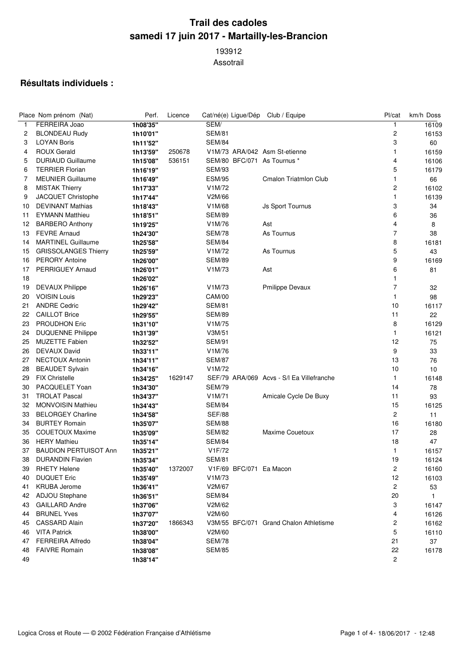## **Trail des cadoles samedi 17 juin 2017 - Martailly-les-Brancion**

Assotrail

## **Résultats individuels :**

|    | Place Nom prénom (Nat)       | Perf.    | Licence |                                   | Cat/né(e) Ligue/Dép Club / Equipe         | Pl/cat         | km/h Doss    |
|----|------------------------------|----------|---------|-----------------------------------|-------------------------------------------|----------------|--------------|
| 1  | FERREIRA Joao                | 1h08'35" |         | SEM/                              |                                           | 1              | 16109        |
| 2  | <b>BLONDEAU Rudy</b>         | 1h10'01" |         | <b>SEM/81</b>                     |                                           | 2              | 16153        |
| 3  | <b>LOYAN Boris</b>           | 1h11'52" |         | <b>SEM/84</b>                     |                                           | 3              | 60           |
| 4  | <b>ROUX Gerald</b>           | 1h13'59" | 250678  |                                   | V1M/73 ARA/042 Asm St-etienne             | 1              | 16159        |
| 5  | <b>DURIAUD Guillaume</b>     | 1h15'08" | 536151  |                                   | SEM/80 BFC/071 As Tournus *               | 4              | 16106        |
| 6  | <b>TERRIER Florian</b>       | 1h16'19" |         | <b>SEM/93</b>                     |                                           | 5              | 16179        |
| 7  | <b>MEUNIER Guillaume</b>     | 1h16'49" |         | <b>ESM/95</b>                     | <b>Cmalon Triatmlon Club</b>              | 1              | 66           |
| 8  | <b>MISTAK Thierry</b>        | 1h17'33" |         | V1M/72                            |                                           | 2              | 16102        |
| 9  | JACQUET Christophe           | 1h17'44" |         | V2M/66                            |                                           | 1              | 16139        |
| 10 | <b>DEVINANT Mathias</b>      | 1h18'43" |         | V1M/68                            | <b>Js Sport Tournus</b>                   | 3              | 34           |
| 11 | <b>EYMANN Matthieu</b>       | 1h18'51" |         | <b>SEM/89</b>                     |                                           | 6              | 36           |
| 12 | <b>BARBERO Anthony</b>       | 1h19'25" |         | V1M/76                            | Ast                                       | 4              | 8            |
| 13 | <b>FEVRE Arnaud</b>          | 1h24'30" |         | <b>SEM/78</b>                     | As Tournus                                | $\overline{7}$ | 38           |
| 14 | <b>MARTINEL Guillaume</b>    | 1h25'58" |         | SEM/84                            |                                           | 8              | 16181        |
| 15 | <b>GRISSOLANGES Thierry</b>  | 1h25'59" |         | V1M/72                            | As Tournus                                | 5              | 43           |
| 16 | <b>PERORY Antoine</b>        | 1h26'00" |         | <b>SEM/89</b>                     |                                           | 9              | 16169        |
| 17 | <b>PERRIGUEY Arnaud</b>      | 1h26'01" |         | V1M/73                            | Ast                                       | 6              | 81           |
| 18 |                              | 1h26'02" |         |                                   |                                           | 1              |              |
| 19 | <b>DEVAUX Philippe</b>       | 1h26'16" |         | V1M/73                            | <b>Pmilippe Devaux</b>                    | 7              | 32           |
| 20 | <b>VOISIN Louis</b>          | 1h29'23" |         | <b>CAM/00</b>                     |                                           | 1              | 98           |
| 21 | <b>ANDRE Cedric</b>          | 1h29'42" |         | <b>SEM/81</b>                     |                                           | 10             | 16117        |
| 22 | <b>CAILLOT Brice</b>         | 1h29'55" |         | <b>SEM/89</b>                     |                                           | 11             | 22           |
| 23 | <b>PROUDHON Eric</b>         | 1h31'10" |         | V1M/75                            |                                           | 8              | 16129        |
| 24 | <b>DUQUENNE Philippe</b>     | 1h31'39" |         | V3M/51                            |                                           | 1              | 16121        |
| 25 | <b>MUZETTE Fabien</b>        | 1h32'52" |         | <b>SEM/91</b>                     |                                           | 12             | 75           |
| 26 | DEVAUX David                 | 1h33'11" |         | V1M/76                            |                                           | 9              | 33           |
| 27 | <b>NECTOUX Antonin</b>       | 1h34'11" |         | <b>SEM/87</b>                     |                                           | 13             | 76           |
| 28 | <b>BEAUDET Sylvain</b>       | 1h34'16" |         | V1M/72                            |                                           | 10             | 10           |
| 29 | <b>FIX Christelle</b>        | 1h34'25" | 1629147 |                                   | SEF/79 ARA/069 Acvs - S/l Ea Villefranche | 1              | 16148        |
| 30 | PACQUELET Yoan               | 1h34'30" |         | <b>SEM/79</b>                     |                                           | 14             | 78           |
| 31 | <b>TROLAT Pascal</b>         | 1h34'37" |         | V1M/71                            | Amicale Cycle De Buxy                     | 11             | 93           |
| 32 | <b>MONVOISIN Mathieu</b>     | 1h34'43" |         | <b>SEM/84</b>                     |                                           | 15             | 16125        |
| 33 | <b>BELORGEY Charline</b>     | 1h34'58" |         | <b>SEF/88</b>                     |                                           | 2              | 11           |
| 34 | <b>BURTEY Romain</b>         | 1h35'07" |         | <b>SEM/88</b>                     |                                           | 16             |              |
| 35 | <b>COUETOUX Maxime</b>       |          |         | <b>SEM/82</b>                     | Maxime Couetoux                           | 17             | 16180        |
| 36 | <b>HERY Mathieu</b>          | 1h35'09" |         | <b>SEM/84</b>                     |                                           | 18             | 28           |
| 37 | <b>BAUDION PERTUISOT Ann</b> | 1h35'14" |         | V1F/72                            |                                           | 1              | 47           |
|    |                              | 1h35'21" |         |                                   |                                           |                | 16157        |
| 38 | <b>DURANDIN Flavien</b>      | 1h35'34" |         | <b>SEM/81</b>                     |                                           | 19             | 16124        |
|    | 39 RHETY Helene              | 1h35'40" | 1372007 | V1F/69 BFC/071 Ea Macon<br>V1M/73 |                                           | 2              | 16160        |
| 40 | <b>DUQUET Eric</b>           | 1h35'49" |         |                                   |                                           | 12             | 16103        |
| 41 | <b>KRUBA Jerome</b>          | 1h36'41" |         | V2M/67                            |                                           | 2              | 53           |
| 42 | ADJOU Stephane               | 1h36'51" |         | <b>SEM/84</b>                     |                                           | 20             | $\mathbf{1}$ |
| 43 | <b>GAILLARD Andre</b>        | 1h37'06" |         | V2M/62                            |                                           | 3              | 16147        |
| 44 | <b>BRUNEL Yves</b>           | 1h37'07" |         | V2M/60                            |                                           | 4              | 16126        |
| 45 | <b>CASSARD Alain</b>         | 1h37'20" | 1866343 |                                   | V3M/55 BFC/071 Grand Chalon Athletisme    | 2              | 16162        |
| 46 | <b>VITA Patrick</b>          | 1h38'00" |         | V2M/60                            |                                           | 5              | 16110        |
| 47 | FERREIRA Alfredo             | 1h38'04" |         | <b>SEM/78</b>                     |                                           | 21             | 37           |
| 48 | <b>FAIVRE Romain</b>         | 1h38'08" |         | <b>SEM/85</b>                     |                                           | 22             | 16178        |
| 49 |                              | 1h38'14" |         |                                   |                                           | 2              |              |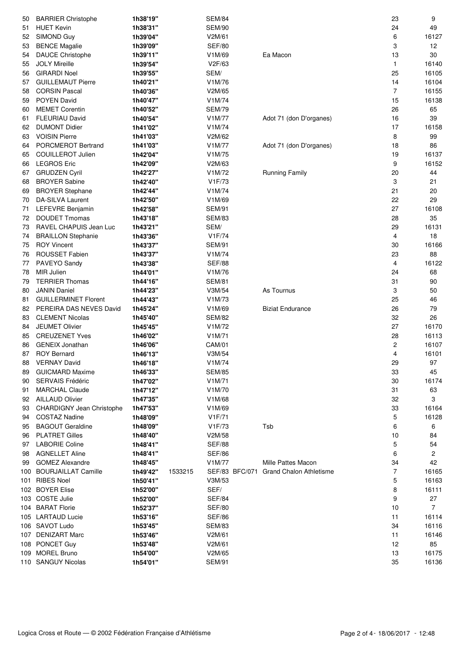| 50    | <b>BARRIER Christophe</b>        | 1h38'19" |         | <b>SEM/84</b> |                |                                | 23             | 9              |
|-------|----------------------------------|----------|---------|---------------|----------------|--------------------------------|----------------|----------------|
| 51    | <b>HUET Kevin</b>                | 1h38'31" |         | <b>SEM/90</b> |                |                                | 24             | 49             |
| 52    | SIMOND Guy                       | 1h39'04" |         | V2M/61        |                |                                | 6              | 16127          |
| 53    | <b>BENCE Magalie</b>             | 1h39'09" |         | <b>SEF/80</b> |                |                                | 3              | 12             |
| 54    | <b>DAUCE Christophe</b>          | 1h39'11" |         | V1M/69        |                | Ea Macon                       | 13             | 30             |
| 55    | <b>JOLY Mireille</b>             | 1h39'54" |         | V2F/63        |                |                                | 1              | 16140          |
| 56    | <b>GIRARDI Noel</b>              | 1h39'55" |         | SEM/          |                |                                | 25             | 16105          |
| 57    | <b>GUILLEMAUT Pierre</b>         | 1h40'21" |         | V1M/76        |                |                                | 14             | 16104          |
| 58    | <b>CORSIN Pascal</b>             | 1h40'36" |         | V2M/65        |                |                                | $\overline{7}$ | 16155          |
| 59    | POYEN David                      | 1h40'47" |         | V1M/74        |                |                                | 15             | 16138          |
|       | <b>MEMET Corentin</b>            | 1h40'52" |         | <b>SEM/79</b> |                |                                | 26             | 65             |
| 60    |                                  |          |         |               |                |                                |                |                |
| 61    | <b>FLEURIAU David</b>            | 1h40'54" |         | V1M/77        |                | Adot 71 (don D'organes)        | 16             | 39             |
| 62    | <b>DUMONT Didier</b>             | 1h41'02" |         | V1M/74        |                |                                | 17             | 16158          |
| 63    | <b>VOISIN Pierre</b>             | 1h41'03" |         | V2M/62        |                |                                | 8              | 99             |
| 64    | PORCMEROT Bertrand               | 1h41'03" |         | V1M/77        |                | Adot 71 (don D'organes)        | 18             | 86             |
| 65    | <b>COUILLEROT Julien</b>         | 1h42'04" |         | V1M/75        |                |                                | 19             | 16137          |
| 66    | <b>LEGROS Eric</b>               | 1h42'09" |         | V2M/63        |                |                                | 9              | 16152          |
| 67    | <b>GRUDZEN Cyril</b>             | 1h42'27" |         | V1M/72        |                | Running Family                 | 20             | 44             |
| 68    | <b>BROYER Sabine</b>             | 1h42'40" |         | V1F/73        |                |                                | 3              | 21             |
| 69    | <b>BROYER Stephane</b>           | 1h42'44" |         | V1M/74        |                |                                | 21             | 20             |
| 70    | DA-SILVA Laurent                 | 1h42'50" |         | V1M/69        |                |                                | 22             | 29             |
| 71    | LEFEVRE Benjamin                 | 1h42'58" |         | <b>SEM/91</b> |                |                                | 27             | 16108          |
| 72    | <b>DOUDET Tmomas</b>             | 1h43'18" |         | <b>SEM/83</b> |                |                                | 28             | 35             |
| 73    | RAVEL CHAPUIS Jean Luc           | 1h43'21" |         | SEM/          |                |                                | 29             | 16131          |
| 74    | <b>BRAILLON Stephanie</b>        | 1h43'36" |         | V1F/74        |                |                                | 4              | 18             |
| 75    | <b>ROY Vincent</b>               | 1h43'37" |         | <b>SEM/91</b> |                |                                | 30             | 16166          |
| 76    | ROUSSET Fabien                   | 1h43'37" |         | V1M/74        |                |                                | 23             | 88             |
| 77    | PAVEYO Sandy                     | 1h43'38" |         | <b>SEF/88</b> |                |                                | 4              | 16122          |
| 78    | MIR Julien                       | 1h44'01" |         | V1M/76        |                |                                | 24             | 68             |
| 79    | <b>TERRIER Thomas</b>            | 1h44'16" |         | <b>SEM/81</b> |                |                                | 31             | 90             |
| 80    | <b>JANIN Daniel</b>              | 1h44'23" |         | V3M/54        |                | As Tournus                     | 3              | 50             |
| 81    | <b>GUILLERMINET Florent</b>      | 1h44'43" |         | V1M/73        |                |                                | 25             | 46             |
| 82    | PEREIRA DAS NEVES David          | 1h45'24" |         | V1M/69        |                | <b>Biziat Endurance</b>        | 26             | 79             |
| 83    | <b>CLEMENT Nicolas</b>           | 1h45'40" |         | <b>SEM/82</b> |                |                                | 32             | 26             |
| 84    | <b>JEUMET Olivier</b>            | 1h45'45" |         | V1M/72        |                |                                | 27             | 16170          |
| 85    | <b>CREUZENET Yves</b>            | 1h46'02" |         | V1M/71        |                |                                | 28             | 16113          |
| 86    | <b>GENEIX Jonathan</b>           | 1h46'06" |         | CAM/01        |                |                                | 2              | 16107          |
| 87    | <b>ROY Bernard</b>               | 1h46'13" |         | V3M/54        |                |                                | 4              | 16101          |
| 88    | <b>VERNAY David</b>              | 1h46'18" |         | V1M/74        |                |                                | 29             | 97             |
| 89    | <b>GUICMARD Maxime</b>           | 1h46'33" |         | <b>SEM/85</b> |                |                                | 33             | 45             |
| 90    | SERVAIS Frédéric                 | 1h47'02" |         | V1M/71        |                |                                | 30             | 16174          |
| 91    | <b>MARCHAL Claude</b>            | 1h47'12" |         | V1M/70        |                |                                | 31             | 63             |
| 92    | <b>AILLAUD Olivier</b>           | 1h47'35" |         | V1M/68        |                |                                | 32             | 3              |
| 93    | <b>CHARDIGNY Jean Christophe</b> | 1h47'53" |         | V1M/69        |                |                                | 33             | 16164          |
| 94    | <b>COSTAZ Nadine</b>             | 1h48'09" |         | V1F/71        |                |                                | 5              | 16128          |
| 95    | <b>BAGOUT Geraldine</b>          | 1h48'09" |         | V1F/73        |                | Tsb                            | 6              | 6              |
| 96    | <b>PLATRET Gilles</b>            | 1h48'40" |         | V2M/58        |                |                                | 10             | 84             |
| 97    | <b>LABORIE Coline</b>            | 1h48'41" |         | <b>SEF/88</b> |                |                                | 5              | 54             |
| 98    | <b>AGNELLET Aline</b>            | 1h48'41" |         | <b>SEF/86</b> |                |                                | 6              | 2              |
| 99    | <b>GOMEZ Alexandre</b>           | 1h48'45" |         | V1M/77        |                | Mille Pattes Macon             | 34             | 42             |
| 100 - | <b>BOURJAILLAT Camille</b>       | 1h49'42" | 1533215 |               | SEF/83 BFC/071 | <b>Grand Chalon Athletisme</b> | 7              | 16165          |
| 101   | <b>RIBES Noel</b>                | 1h50'41" |         | V3M/53        |                |                                | 5              | 16163          |
|       | 102 BOYER Elise                  | 1h52'00" |         | SEF/          |                |                                | 8              | 16111          |
|       | 103 COSTE Julie                  | 1h52'00" |         | <b>SEF/84</b> |                |                                | 9              | 27             |
|       | 104 BARAT Florie                 | 1h52'37" |         | <b>SEF/80</b> |                |                                | 10             | $\overline{7}$ |
|       | 105 LARTAUD Lucie                | 1h53'16" |         | <b>SEF/86</b> |                |                                | 11             | 16114          |
|       | 106 SAVOT Ludo                   | 1h53'45" |         | <b>SEM/83</b> |                |                                | 34             | 16116          |
|       | 107 DENIZART Marc                | 1h53'46" |         | V2M/61        |                |                                | 11             | 16146          |
|       | 108 PONCET Guy                   | 1h53'48" |         | V2M/61        |                |                                | 12             | 85             |
|       | 109 MOREL Bruno                  | 1h54'00" |         | V2M/65        |                |                                | 13             | 16175          |
|       | 110 SANGUY Nicolas               | 1h54'01" |         | <b>SEM/91</b> |                |                                | 35             | 16136          |
|       |                                  |          |         |               |                |                                |                |                |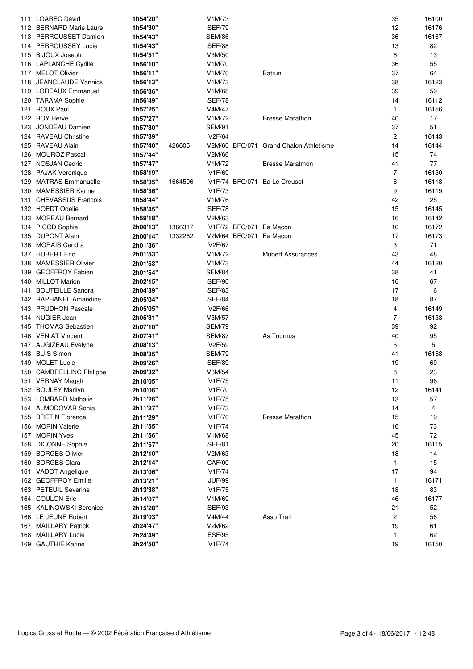|     | 111 LOAREC David          | 1h54'20"             |         | V1M/73        |                                        | 35                      | 16100 |
|-----|---------------------------|----------------------|---------|---------------|----------------------------------------|-------------------------|-------|
|     | 112 BERNARD Marie Laure   | 1h54'30"             |         | <b>SEF/79</b> |                                        | 12                      | 16176 |
|     | 113 PERROUSSET Damien     | 1h54'43"             |         | <b>SEM/86</b> |                                        | 36                      | 16167 |
|     | 114 PERROUSSEY Lucie      | 1h54'43"             |         | <b>SEF/88</b> |                                        | 13                      | 82    |
|     | 115 BIJOUX Joseph         | 1h54'51"             |         | V3M/50        |                                        | 6                       | 13    |
|     | 116 LAPLANCHE Cyrille     | 1h56'10"             |         | V1M/70        |                                        | 36                      | 55    |
|     | 117 MELOT Olivier         | 1h56'11"             |         | V1M/70        | Batrun                                 | 37                      | 64    |
|     | 118 JEANCLAUDE Yannick    | 1h56'13"             |         | V1M/73        |                                        | 38                      | 16123 |
|     | 119 LOREAUX Emmanuel      | 1h56'36"             |         | V1M/68        |                                        | 39                      | 59    |
|     | 120 TARAMA Sophie         | 1h56'49"             |         | <b>SEF/78</b> |                                        | 14                      | 16112 |
| 121 | <b>ROUX Paul</b>          | 1h57'25"             |         | V4M/47        |                                        | 1                       | 16156 |
| 122 | <b>BOY Herve</b>          |                      |         | V1M/72        | <b>Bresse Marathon</b>                 | 40                      | 17    |
|     | <b>JONDEAU Damien</b>     | 1h57'27"<br>1h57'30" |         |               |                                        | 37                      | 51    |
| 123 |                           |                      |         | <b>SEM/91</b> |                                        |                         |       |
|     | 124 RAVEAU Christine      | 1h57'39"             |         | V2F/64        |                                        | $\overline{\mathbf{c}}$ | 16143 |
|     | 125 RAVEAU Alain          | 1h57'40"             | 426605  |               | V2M/60 BFC/071 Grand Chalon Athletisme | 14                      | 16144 |
| 126 | <b>MOUROZ Pascal</b>      | 1h57'44"             |         | V2M/66        |                                        | 15                      | 74    |
| 127 | <b>NOSJAN Cedric</b>      | 1h57'47"             |         | V1M/72        | <b>Bresse Maratmon</b>                 | 41                      | 77    |
|     | 128 PAJAK Veronique       | 1h58'19"             |         | V1F/69        |                                        | $\overline{7}$          | 16130 |
| 129 | <b>MATRAS Emmanuelle</b>  | 1h58'35"             | 1664506 |               | V1F/74 BFC/071 Ea Le Creusot           | 8                       | 16118 |
| 130 | <b>MAMESSIER Karine</b>   | 1h58'36"             |         | V1F/73        |                                        | 9                       | 16119 |
| 131 | <b>CHEVASSUS Francois</b> | 1h58'44"             |         | V1M/76        |                                        | 42                      | 25    |
|     | 132 HOEDT Odelie          | 1h58'45"             |         | <b>SEF/78</b> |                                        | 15                      | 16145 |
| 133 | <b>MOREAU Bernard</b>     | 1h59'18"             |         | V2M/63        |                                        | 16                      | 16142 |
| 134 | PICOD Sophie              | 2h00'13"             | 1366317 |               | V1F/72 BFC/071 Ea Macon                | 10                      | 16172 |
| 135 | <b>DUPONT Alain</b>       | 2h00'14"             | 1332262 |               | V2M/64 BFC/071 Ea Macon                | 17                      | 16173 |
| 136 | <b>MORAIS Cendra</b>      | 2h01'36"             |         | V2F/67        |                                        | 3                       | 71    |
|     | 137 HUBERT Eric           | 2h01'53"             |         | V1M/72        | <b>Mubert Assurances</b>               | 43                      | 48    |
| 138 | <b>MAMESSIER Olivier</b>  | 2h01'53"             |         | V1M/73        |                                        | 44                      | 16120 |
| 139 | <b>GEOFFROY Fabien</b>    | 2h01'54"             |         | <b>SEM/84</b> |                                        | 38                      | 41    |
| 140 | <b>MILLOT Marion</b>      | 2h02'15"             |         | <b>SEF/90</b> |                                        | 16                      | 67    |
| 141 | <b>BOUTEILLE Sandra</b>   | 2h04'39"             |         | <b>SEF/83</b> |                                        | 17                      | 16    |
| 142 | <b>RAPHANEL Amandine</b>  | 2h05'04"             |         | <b>SEF/84</b> |                                        | 18                      | 87    |
| 143 | <b>PRUDHON Pascale</b>    | 2h05'05"             |         | V2F/66        |                                        | 4                       | 16149 |
|     | 144 NUGIER Jean           |                      |         | V3M/57        |                                        | 7                       | 16133 |
|     | <b>THOMAS Sebastien</b>   | 2h05'31"             |         | <b>SEM/79</b> |                                        |                         |       |
| 145 |                           | 2h07'10"             |         |               |                                        | 39                      | 92    |
|     | 146 VENIAT Vincent        | 2h07'41"             |         | <b>SEM/87</b> | As Tournus                             | 40                      | 95    |
|     | 147 AUGIZEAU Evelyne      | 2h08'13"             |         | V2F/59        |                                        | 5                       | 5     |
| 148 | <b>BUIS Simon</b>         | 2h08'35"             |         | <b>SEM/79</b> |                                        | 41                      | 16168 |
|     | 149 MOLET Lucie           | 2h09'26"             |         | <b>SEF/89</b> |                                        | 19                      | 69    |
|     | 150 CAMBRELLING Philippe  | 2h09'32"             |         | V3M/54        |                                        | 8                       | 23    |
|     | 151 VERNAY Magali         | 2h10'05"             |         | V1F/75        |                                        | 11                      | 96    |
|     | 152 BOULEY Marilyn        | 2h10'06"             |         | V1F/70        |                                        | 12                      | 16141 |
|     | 153 LOMBARD Nathalie      | 2h11'26"             |         | V1F/75        |                                        | 13                      | 57    |
|     | 154 ALMODOVAR Sonia       | 2h11'27"             |         | V1F/73        |                                        | 14                      | 4     |
| 155 | <b>BRETIN Florence</b>    | 2h11'29"             |         | V1F/70        | <b>Bresse Marathon</b>                 | 15                      | 19    |
|     | 156 MORIN Valerie         | 2h11'55"             |         | V1F/74        |                                        | 16                      | 73    |
| 157 | <b>MORIN Yves</b>         | 2h11'56"             |         | V1M/68        |                                        | 45                      | 72    |
| 158 | <b>DICONNE Sophie</b>     | 2h11'57"             |         | <b>SEF/81</b> |                                        | 20                      | 16115 |
| 159 | <b>BORGES Olivier</b>     | 2h12'10"             |         | V2M/63        |                                        | 18                      | 14    |
| 160 | <b>BORGES Clara</b>       | 2h12'14"             |         | <b>CAF/00</b> |                                        | 1                       | 15    |
| 161 | <b>VADOT Angelique</b>    | 2h13'06"             |         | V1F/74        |                                        | 17                      | 94    |
|     | 162 GEOFFROY Emilie       | 2h13'21"             |         | <b>JUF/99</b> |                                        | 1                       | 16171 |
| 163 | <b>PETEUIL Severine</b>   | 2h13'38"             |         | V1F/75        |                                        | 18                      | 83    |
| 164 | <b>COULON Eric</b>        | 2h14'07"             |         | V1M/69        |                                        | 46                      | 16177 |
|     | 165 KALINOWSKI Berenice   | 2h15'28"             |         | <b>SEF/93</b> |                                        | 21                      | 52    |
|     | 166 LE JEUNE Robert       | 2h19'03"             |         | V4M/44        | Asso Trail                             | $\overline{\mathbf{c}}$ | 56    |
|     | 167 MAILLARY Patrick      |                      |         | V2M/62        |                                        |                         | 61    |
|     |                           | 2h24'47''            |         |               |                                        | 19                      |       |
| 168 | <b>MAILLARY Lucie</b>     | 2h24'49"             |         | <b>ESF/95</b> |                                        | 1                       | 62    |
|     | 169 GAUTHIE Karine        | 2h24'50"             |         | V1F/74        |                                        | 19                      | 16150 |